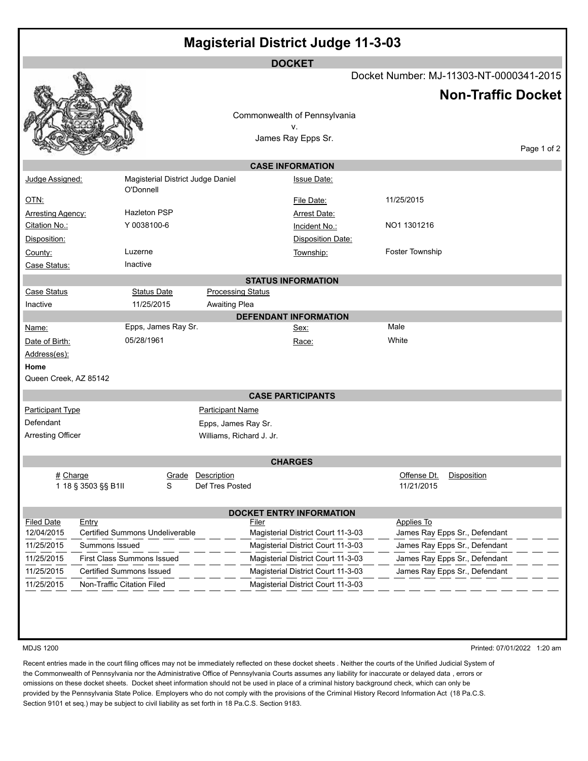| <b>Magisterial District Judge 11-3-03</b> |                                                |                                                 |                                    |                                             |                             |  |  |
|-------------------------------------------|------------------------------------------------|-------------------------------------------------|------------------------------------|---------------------------------------------|-----------------------------|--|--|
| <b>DOCKET</b>                             |                                                |                                                 |                                    |                                             |                             |  |  |
|                                           |                                                |                                                 |                                    | Docket Number: MJ-11303-NT-0000341-2015     |                             |  |  |
|                                           |                                                |                                                 |                                    | <b>Non-Traffic Docket</b>                   |                             |  |  |
|                                           |                                                |                                                 | Commonwealth of Pennsylvania       |                                             |                             |  |  |
|                                           |                                                |                                                 | ۷.                                 |                                             |                             |  |  |
|                                           |                                                |                                                 | James Ray Epps Sr.                 |                                             |                             |  |  |
| Page 1 of 2                               |                                                |                                                 |                                    |                                             |                             |  |  |
|                                           |                                                |                                                 | <b>CASE INFORMATION</b>            |                                             |                             |  |  |
| Judge Assigned:                           | Magisterial District Judge Daniel<br>O'Donnell |                                                 | <b>Issue Date:</b>                 |                                             |                             |  |  |
| <u>OTN:</u>                               |                                                |                                                 | File Date:                         | 11/25/2015                                  |                             |  |  |
| Arresting Agency:                         | <b>Hazleton PSP</b>                            |                                                 | Arrest Date:                       |                                             |                             |  |  |
| Citation No.:                             | Y 0038100-6                                    |                                                 | Incident No.:                      | NO1 1301216                                 |                             |  |  |
| Disposition:                              |                                                |                                                 | <b>Disposition Date:</b>           |                                             |                             |  |  |
| County:                                   | Luzerne                                        |                                                 | Township:                          | Foster Township                             |                             |  |  |
| Case Status:                              | Inactive                                       |                                                 |                                    |                                             |                             |  |  |
| <b>STATUS INFORMATION</b>                 |                                                |                                                 |                                    |                                             |                             |  |  |
| <b>Case Status</b>                        | <b>Status Date</b>                             | <b>Processing Status</b>                        |                                    |                                             |                             |  |  |
| Inactive                                  | 11/25/2015                                     | <b>Awaiting Plea</b>                            |                                    |                                             |                             |  |  |
|                                           |                                                |                                                 | <b>DEFENDANT INFORMATION</b>       |                                             |                             |  |  |
| Name:                                     | Epps, James Ray Sr.                            |                                                 | Sex:                               | Male                                        |                             |  |  |
| Date of Birth:                            | 05/28/1961                                     |                                                 | Race:                              | White                                       |                             |  |  |
| Address(es):                              |                                                |                                                 |                                    |                                             |                             |  |  |
| Home<br>Queen Creek, AZ 85142             |                                                |                                                 |                                    |                                             |                             |  |  |
|                                           |                                                |                                                 |                                    |                                             |                             |  |  |
| <b>CASE PARTICIPANTS</b>                  |                                                |                                                 |                                    |                                             |                             |  |  |
| <b>Participant Type</b><br>Defendant      |                                                | <b>Participant Name</b>                         |                                    |                                             |                             |  |  |
| <b>Arresting Officer</b>                  |                                                | Epps, James Ray Sr.<br>Williams, Richard J. Jr. |                                    |                                             |                             |  |  |
|                                           |                                                |                                                 |                                    |                                             |                             |  |  |
| <b>CHARGES</b>                            |                                                |                                                 |                                    |                                             |                             |  |  |
| # Charge                                  | Grade                                          | Description                                     |                                    | Offense Dt.<br>Disposition                  |                             |  |  |
| 1 18 § 3503 §§ B1II                       | s                                              | Def Tres Posted                                 |                                    | 11/21/2015                                  |                             |  |  |
|                                           |                                                |                                                 |                                    |                                             |                             |  |  |
| <b>DOCKET ENTRY INFORMATION</b>           |                                                |                                                 |                                    |                                             |                             |  |  |
| <b>Filed Date</b><br>Entry<br>12/04/2015  | <b>Certified Summons Undeliverable</b>         | Filer                                           | Magisterial District Court 11-3-03 | Applies To<br>James Ray Epps Sr., Defendant |                             |  |  |
| 11/25/2015                                | Summons Issued                                 |                                                 | Magisterial District Court 11-3-03 | James Ray Epps Sr., Defendant               |                             |  |  |
| 11/25/2015                                | First Class Summons Issued                     |                                                 | Magisterial District Court 11-3-03 | James Ray Epps Sr., Defendant               |                             |  |  |
| 11/25/2015                                | <b>Certified Summons Issued</b>                |                                                 | Magisterial District Court 11-3-03 | James Ray Epps Sr., Defendant               |                             |  |  |
| 11/25/2015                                | Non-Traffic Citation Filed                     |                                                 | Magisterial District Court 11-3-03 |                                             |                             |  |  |
|                                           |                                                |                                                 |                                    |                                             |                             |  |  |
|                                           |                                                |                                                 |                                    |                                             |                             |  |  |
|                                           |                                                |                                                 |                                    |                                             |                             |  |  |
|                                           |                                                |                                                 |                                    |                                             |                             |  |  |
| <b>MDJS 1200</b>                          |                                                |                                                 |                                    |                                             | Printed: 07/01/2022 1:20 am |  |  |

Recent entries made in the court filing offices may not be immediately reflected on these docket sheets . Neither the courts of the Unified Judicial System of the Commonwealth of Pennsylvania nor the Administrative Office of Pennsylvania Courts assumes any liability for inaccurate or delayed data , errors or omissions on these docket sheets. Docket sheet information should not be used in place of a criminal history background check, which can only be provided by the Pennsylvania State Police. Employers who do not comply with the provisions of the Criminal History Record Information Act (18 Pa.C.S. Section 9101 et seq.) may be subject to civil liability as set forth in 18 Pa.C.S. Section 9183.